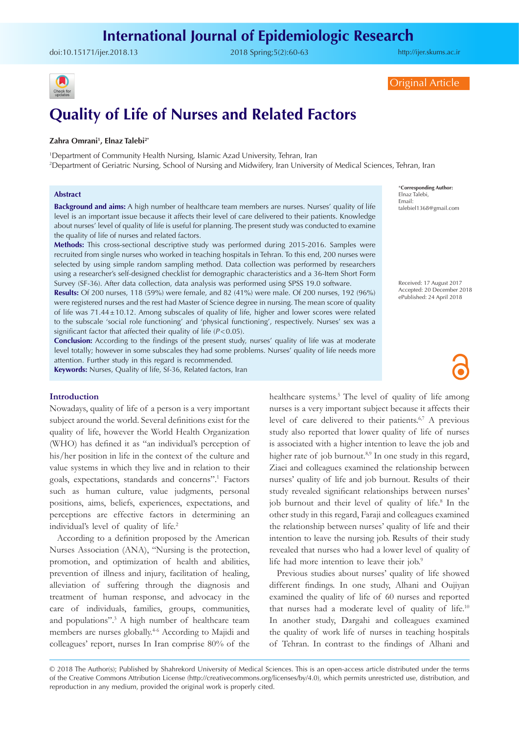# **International Journal of Epidemiologic Research**

doi:[10.15171/ijer.2018.13](https://doi.org/10.15171/ijer.2018.13 ) 2018 Spring;5(2):60-63

<http://ijer.skums.ac.ir>



Original Article

# **Quality of Life of Nurses and Related Factors**

#### **Zahra Omrani1 , Elnaz Talebi2\***

1 Department of Community Health Nursing, Islamic Azad University, Tehran, Iran 2 Department of Geriatric Nursing, School of Nursing and Midwifery, Iran University of Medical Sciences, Tehran, Iran

#### **Abstract**

**Background and aims:** A high number of healthcare team members are nurses. Nurses' quality of life level is an important issue because it affects their level of care delivered to their patients. Knowledge about nurses' level of quality of life is useful for planning. The present study was conducted to examine the quality of life of nurses and related factors.

**Methods:** This cross-sectional descriptive study was performed during 2015-2016. Samples were recruited from single nurses who worked in teaching hospitals in Tehran. To this end, 200 nurses were selected by using simple random sampling method. Data collection was performed by researchers using a researcher's self-designed checklist for demographic characteristics and a 36-Item Short Form Survey (SF-36). After data collection, data analysis was performed using SPSS 19.0 software.

**Results:** Of 200 nurses, 118 (59%) were female, and 82 (41%) were male. Of 200 nurses, 192 (96%) were registered nurses and the rest had Master of Science degree in nursing. The mean score of quality of life was 71.44±10.12. Among subscales of quality of life, higher and lower scores were related to the subscale 'social role functioning' and 'physical functioning', respectively. Nurses' sex was a significant factor that affected their quality of life (*P*<0.05).

**Conclusion:** According to the findings of the present study, nurses' quality of life was at moderate level totally; however in some subscales they had some problems. Nurses' quality of life needs more attention. Further study in this regard is recommended.

**Keywords:** Nurses, Quality of life, Sf-36, Related factors, Iran

## **Introduction**

Nowadays, quality of life of a person is a very important subject around the world. Several definitions exist for the quality of life, however the World Health Organization (WHO) has defined it as "an individual's perception of his/her position in life in the context of the culture and value systems in which they live and in relation to their goals, expectations, standards and concerns".<sup>1</sup> Factors such as human culture, value judgments, personal positions, aims, beliefs, experiences, expectations, and perceptions are effective factors in determining an individual's level of quality of life.<sup>2</sup>

According to a definition proposed by the American Nurses Association (ANA), "Nursing is the protection, promotion, and optimization of health and abilities, prevention of illness and injury, facilitation of healing, alleviation of suffering through the diagnosis and treatment of human response, and advocacy in the care of individuals, families, groups, communities, and populations".<sup>3</sup> A high number of healthcare team members are nurses globally.<sup>46</sup> According to Majidi and colleagues' report, nurses In Iran comprise 80% of the

healthcare systems.<sup>5</sup> The level of quality of life among nurses is a very important subject because it affects their level of care delivered to their patients.6,7 A previous study also reported that lower quality of life of nurses is associated with a higher intention to leave the job and higher rate of job burnout.<sup>8,9</sup> In one study in this regard, Ziaei and colleagues examined the relationship between nurses' quality of life and job burnout. Results of their study revealed significant relationships between nurses' job burnout and their level of quality of life.<sup>8</sup> In the other study in this regard, Faraji and colleagues examined the relationship between nurses' quality of life and their intention to leave the nursing job. Results of their study revealed that nurses who had a lower level of quality of life had more intention to leave their job.<sup>9</sup>

Previous studies about nurses' quality of life showed different findings. In one study, Alhani and Oujiyan examined the quality of life of 60 nurses and reported that nurses had a moderate level of quality of life.<sup>10</sup> In another study, Dargahi and colleagues examined the quality of work life of nurses in teaching hospitals of Tehran. In contrast to the findings of Alhani and

© 2018 The Author(s); Published by Shahrekord University of Medical Sciences. This is an open-access article distributed under the terms of the Creative Commons Attribution License (http://creativecommons.org/licenses/by/4.0), which permits unrestricted use, distribution, and reproduction in any medium, provided the original work is properly cited.

\***Corresponding Author:** Elnaz Talebi, Email: talebiel1368@gmail.com

Received: 17 August 2017 Accepted: 20 December 2018 ePublished: 24 April 2018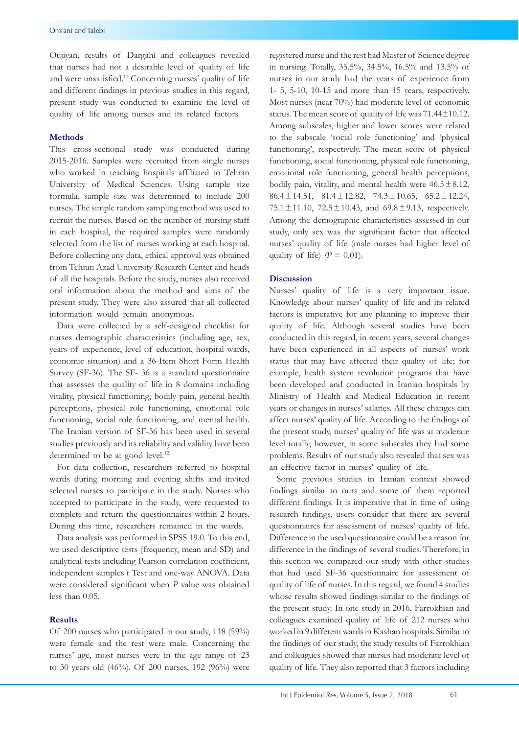Oujiyan, results of Dargahi and colleagues revealed that nurses had not a desirable level of quality of life and were unsatisfied.<sup>11</sup> Concerning nurses' quality of life and different findings in previous studies in this regard, present study was conducted to examine the level of quality of life among nurses and its related factors.

#### **Methods**

This cross-sectional study was conducted during 2015-2016. Samples were recruited from single nurses who worked in teaching hospitals affiliated to Tehran University of Medical Sciences. Using sample size formula, sample size was determined to include 200 nurses. The simple random sampling method was used to recruit the nurses. Based on the number of nursing staff in each hospital, the required samples were randomly selected from the list of nurses working at each hospital. Before collecting any data, ethical approval was obtained from Tehran Azad University Research Center and heads of all the hospitals. Before the study, nurses also received oral information about the method and aims of the present study. They were also assured that all collected information would remain anonymous.

Data were collected by a self-designed checklist for nurses demographic characteristics (including age, sex, years of experience, level of education, hospital wards, economic situation) and a 36-Item Short Form Health Survey (SF-36). The SF- 36 is a standard questionnaire that assesses the quality of life in 8 domains including vitality, physical functioning, bodily pain, general health perceptions, physical role functioning, emotional role functioning, social role functioning, and mental health. The Iranian version of SF-36 has been used in several studies previously and its reliability and validity have been determined to be at good level.<sup>12</sup>

For data collection, researchers referred to hospital wards during morning and evening shifts and invited selected nurses to participate in the study. Nurses who accepted to participate in the study, were requested to complete and return the questionnaires within 2 hours. During this time, researchers remained in the wards.

Data analysis was performed in SPSS 19.0. To this end, we used descriptive tests (frequency, mean and SD) and analytical tests including Pearson correlation coefficient, independent samples t Test and one-way ANOVA. Data were considered significant when *P* value was obtained less than 0.05.

#### **Results**

Of 200 nurses who participated in our study, 118 (59%) were female and the rest were male. Concerning the nurses' age, most nurses were in the age range of 23 to 30 years old (46%). Of 200 nurses, 192 (96%) were registered nurse and the rest had Master of Science degree in nursing. Totally, 35.5%, 34.5%, 16.5% and 13.5% of nurses in our study had the years of experience from 1- 5, 5-10, 10-15 and more than 15 years, respectively. Most nurses (near 70%) had moderate level of economic status. The mean score of quality of life was  $71.44\pm10.12$ . Among subscales, higher and lower scores were related to the subscale 'social role functioning' and 'physical functioning', respectively. The mean score of physical functioning, social functioning, physical role functioning, emotional role functioning, general health perceptions, bodily pain, vitality, and mental health were  $46.5 \pm 8.12$ , 86.4±14.51, 81.4±12.82, 74.3±10.65, 65.2±12.24,  $75.1 \pm 11.10$ ,  $72.5 \pm 10.43$ , and  $69.8 \pm 9.13$ , respectively. Among the demographic characteristics assessed in our study, only sex was the significant factor that affected nurses' quality of life (male nurses had higher level of quality of life)  $/P = 0.01$ .

## **Discussion**

Nurses' quality of life is a very important issue. Knowledge about nurses' quality of life and its related factors is imperative for any planning to improve their quality of life. Although several studies have been conducted in this regard, in recent years, several changes have been experienced in all aspects of nurses' work status that may have affected their quality of life; for example, health system revolution programs that have been developed and conducted in Iranian hospitals by Ministry of Health and Medical Education in recent years or changes in nurses' salaries. All these changes can affect nurses' quality of life. According to the findings of the present study, nurses' quality of life was at moderate level totally, however, in some subscales they had some problems. Results of our study also revealed that sex was an effective factor in nurses' quality of life.

Some previous studies in Iranian context showed findings similar to ours and some of them reported different findings. It is imperative that in time of using research findings, users consider that there are several questionnaires for assessment of nurses' quality of life. Difference in the used questionnaire could be a reason for difference in the findings of several studies. Therefore, in this section we compared our study with other studies that had used SF-36 questionnaire for assessment of quality of life of nurses. In this regard, we found 4 studies whose results showed findings similar to the findings of the present study. In one study in 2016, Farrokhian and colleagues examined quality of life of 212 nurses who worked in 9 different wards in Kashan hospitals. Similar to the findings of our study, the study results of Farrokhian and colleagues showed that nurses had moderate level of quality of life. They also reported that 3 factors including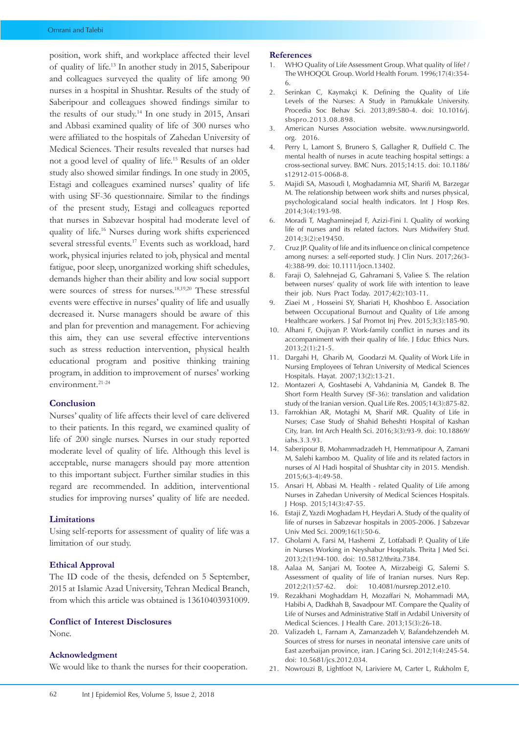position, work shift, and workplace affected their level of quality of life.13 In another study in 2015, Saberipour and colleagues surveyed the quality of life among 90 nurses in a hospital in Shushtar. Results of the study of Saberipour and colleagues showed findings similar to the results of our study.14 In one study in 2015, Ansari and Abbasi examined quality of life of 300 nurses who were affiliated to the hospitals of Zahedan University of Medical Sciences. Their results revealed that nurses had not a good level of quality of life.15 Results of an older study also showed similar findings. In one study in 2005, Estagi and colleagues examined nurses' quality of life with using SF-36 questionnaire. Similar to the findings of the present study, Estagi and colleagues reported that nurses in Sabzevar hospital had moderate level of quality of life.16 Nurses during work shifts experienced several stressful events.17 Events such as workload, hard work, physical injuries related to job, physical and mental fatigue, poor sleep, unorganized working shift schedules, demands higher than their ability and low social support were sources of stress for nurses.18,19,20 These stressful events were effective in nurses' quality of life and usually decreased it. Nurse managers should be aware of this and plan for prevention and management. For achieving this aim, they can use several effective interventions such as stress reduction intervention, physical health educational program and positive thinking training program, in addition to improvement of nurses' working environment.21-24

## **Conclusion**

Nurses' quality of life affects their level of care delivered to their patients. In this regard, we examined quality of life of 200 single nurses. Nurses in our study reported moderate level of quality of life. Although this level is acceptable, nurse managers should pay more attention to this important subject. Further similar studies in this regard are recommended. In addition, interventional studies for improving nurses' quality of life are needed.

# **Limitations**

Using self-reports for assessment of quality of life was a limitation of our study.

#### **Ethical Approval**

The ID code of the thesis, defended on 5 September, 2015 at Islamic Azad University, Tehran Medical Branch, from which this article was obtained is 13610403931009.

## **Conflict of Interest Disclosures**

None.

#### **Acknowledgment**

We would like to thank the nurses for their cooperation.

#### **References**

- 1. WHO Quality of Life Assessment Group. What quality of life? / The WHOQOL Group. World Health Forum. 1996;17(4):354- 6.
- 2. Serinkan C, Kaymakçi K. Defining the Quality of Life Levels of the Nurses: A Study in Pamukkale University. Procedia Soc Behav Sci. 2013;89:580-4. doi: 10.1016/j. sbspro.2013.08.898.
- 3. American Nurses Association website. [www.nursingworld.](http://www.nursingworld.org) [org](http://www.nursingworld.org). 2016.
- 4. Perry L, Lamont S, Brunero S, Gallagher R, Duffield C. The mental health of nurses in acute teaching hospital settings: a cross-sectional survey. BMC Nurs. 2015;14:15. doi: 10.1186/ s12912-015-0068-8.
- 5. Majidi SA, Masoudi I, Moghadamnia MT, Sharifi M, Barzegar M. The relationship between work shifts and nurses physical, psychologicaland social health indicators. Int J Hosp Res. 2014;3(4):193-98.
- 6. Moradi T, Maghaminejad F, Azizi-Fini I. Quality of working life of nurses and its related factors. Nurs Midwifery Stud. 2014;3(2):e19450.
- 7. Cruz JP. Quality of life and its influence on clinical competence among nurses: a self-reported study. J Clin Nurs. 2017;26(3- 4):388-99. doi: 10.1111/jocn.13402.
- 8. Faraji O, Salehnejad G, Gahramani S, Valiee S. The relation between nurses' quality of work life with intention to leave their job. Nurs Pract Today. 2017;4(2):103-11.
- 9. Ziaei M , Hosseini SY, Shariati H, Khoshboo E. Association between Occupational Burnout and Quality of Life among Healthcare workers. J Saf Promot Inj Prev. 2015;3(3):185-90.
- 10. Alhani F, Oujiyan P. Work-family conflict in nurses and its accompaniment with their quality of life. J Educ Ethics Nurs. 2013;2(1):21-5.
- 11. Dargahi H, Gharib M, Goodarzi M. Quality of Work Life in Nursing Employees of Tehran University of Medical Sciences Hospitals. Hayat. 2007;13(2):13-21.
- 12. Montazeri A, Goshtasebi A, Vahdaninia M, Gandek B. The Short Form Health Survey (SF-36): translation and validation study of the Iranian version. Qual Life Res. 2005;14(3):875-82.
- 13. Farrokhian AR, Motaghi M, Sharif MR. Quality of Life in Nurses; Case Study of Shahid Beheshti Hospital of Kashan City, Iran. Int Arch Health Sci. 2016;3(3):93-9. doi: 10.18869/ iahs.3.3.93.
- 14. Saberipour B, Mohammadzadeh H, Hemmatipour A, Zamani M, Salehi kamboo M. Quality of life and its related factors in nurses of Al Hadi hospital of Shushtar city in 2015. Mendish. 2015;6(3-4):49-58.
- 15. Ansari H, Abbasi M. Health related Quality of Life among Nurses in Zahedan University of Medical Sciences Hospitals. J Hosp. 2015;14(3):47-55.
- 16. Estaji Z, Yazdi Moghadam H, Heydari A. Study of the quality of life of nurses in Sabzevar hospitals in 2005-2006. J Sabzevar Univ Med Sci. 2009;16(1):50-6.
- 17. Gholami A, Farsi M, Hashemi Z, Lotfabadi P. Quality of Life in Nurses Working in Neyshabur Hospitals. Thrita J Med Sci. 2013;2(1):94-100. doi: 10.5812/thrita.7384.
- 18. Aalaa M, Sanjari M, Tootee A, Mirzabeigi G, Salemi S. Assessment of quality of life of Iranian nurses. Nurs Rep. 2012;2(1):57-62. doi: 10.4081/nursrep.2012.e10.
- 19. Rezakhani Moghaddam H, Mozaffari N, Mohammadi MA, Habibi A, Dadkhah B, Savadpour MT. Compare the Quality of Life of Nurses and Administrative Staff in Ardabil University of Medical Sciences. J Health Care. 2013;15(3):26-18.
- 20. Valizadeh L, Farnam A, Zamanzadeh V, Bafandehzendeh M. Sources of stress for nurses in neonatal intensive care units of East azerbaijan province, iran. J Caring Sci. 2012;1(4):245-54. doi: 10.5681/jcs.2012.034.
- 21. Nowrouzi B, Lightfoot N, Lariviere M, Carter L, Rukholm E,